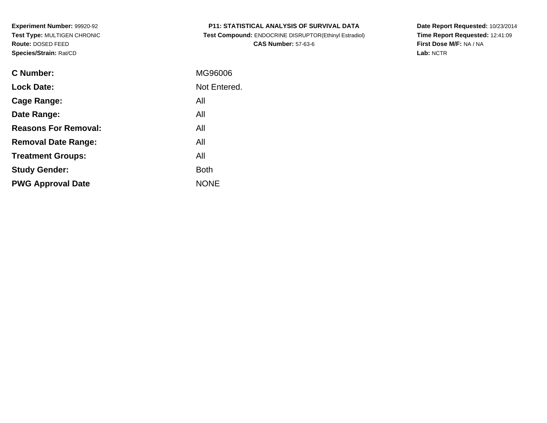|  | <b>P11: STATISTICAL ANALYSIS OF SURVIVAL DATA</b> |
|--|---------------------------------------------------|
|--|---------------------------------------------------|

 **Test Compound:** ENDOCRINE DISRUPTOR(Ethinyl Estradiol)**CAS Number:** 57-63-6

**Date Report Requested:** 10/23/2014 **Time Report Requested:** 12:41:09**First Dose M/F:** NA / NA**Lab:** NCTR

| C Number:                   | MG96006      |
|-----------------------------|--------------|
| <b>Lock Date:</b>           | Not Entered. |
| Cage Range:                 | All          |
| Date Range:                 | All          |
| <b>Reasons For Removal:</b> | All          |
| <b>Removal Date Range:</b>  | All          |
| <b>Treatment Groups:</b>    | All          |
| <b>Study Gender:</b>        | <b>Both</b>  |
| <b>PWG Approval Date</b>    | <b>NONE</b>  |
|                             |              |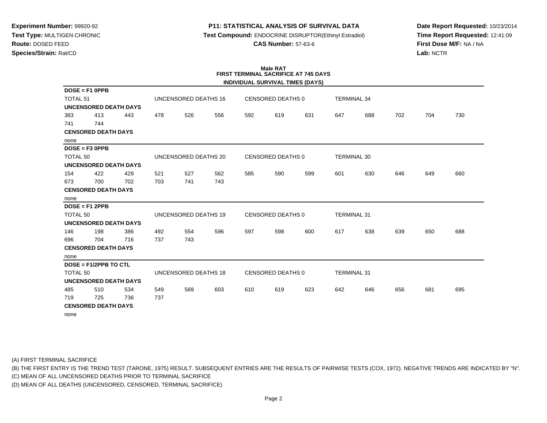## **P11: STATISTICAL ANALYSIS OF SURVIVAL DATA**

**Test Compound:** ENDOCRINE DISRUPTOR(Ethinyl Estradiol)

**CAS Number:** 57-63-6

**Date Report Requested:** 10/23/2014**Time Report Requested:** 12:41:09**First Dose M/F:** NA / NA**Lab:** NCTR

## **Male RATFIRST TERMINAL SACRIFICE AT 745 DAYS**

|                     |                            |                              |                      |                      |     |                   |                          | INDIVIDUAL SURVIVAL TIMES (DAYS) |                    |     |     |     |     |
|---------------------|----------------------------|------------------------------|----------------------|----------------------|-----|-------------------|--------------------------|----------------------------------|--------------------|-----|-----|-----|-----|
|                     | $DOSE = F1$ OPPB           |                              |                      |                      |     |                   |                          |                                  |                    |     |     |     |     |
| <b>TOTAL 51</b>     |                            |                              |                      | UNCENSORED DEATHS 16 |     |                   | <b>CENSORED DEATHS 0</b> |                                  | <b>TERMINAL 34</b> |     |     |     |     |
|                     |                            | <b>UNCENSORED DEATH DAYS</b> |                      |                      |     |                   |                          |                                  |                    |     |     |     |     |
| 383                 | 413                        | 443                          | 478                  | 526                  | 556 | 592               | 619                      | 631                              | 647                | 688 | 702 | 704 | 730 |
| 741                 | 744                        |                              |                      |                      |     |                   |                          |                                  |                    |     |     |     |     |
|                     | <b>CENSORED DEATH DAYS</b> |                              |                      |                      |     |                   |                          |                                  |                    |     |     |     |     |
| none                |                            |                              |                      |                      |     |                   |                          |                                  |                    |     |     |     |     |
|                     | $DOSE = F3 OPPB$           |                              |                      |                      |     |                   |                          |                                  |                    |     |     |     |     |
| TOTAL <sub>50</sub> |                            |                              |                      | UNCENSORED DEATHS 20 |     |                   | <b>CENSORED DEATHS 0</b> |                                  | <b>TERMINAL 30</b> |     |     |     |     |
|                     |                            | <b>UNCENSORED DEATH DAYS</b> |                      |                      |     |                   |                          |                                  |                    |     |     |     |     |
| 154                 | 422                        | 429                          | 521                  | 527                  | 562 | 585               | 590                      | 599                              | 601                | 630 | 646 | 649 | 660 |
| 673                 | 700                        | 702                          | 703                  | 741                  | 743 |                   |                          |                                  |                    |     |     |     |     |
|                     | <b>CENSORED DEATH DAYS</b> |                              |                      |                      |     |                   |                          |                                  |                    |     |     |     |     |
| none                |                            |                              |                      |                      |     |                   |                          |                                  |                    |     |     |     |     |
|                     | $DOSE = F12PPB$            |                              |                      |                      |     |                   |                          |                                  |                    |     |     |     |     |
| <b>TOTAL 50</b>     |                            |                              | UNCENSORED DEATHS 19 |                      |     | CENSORED DEATHS 0 |                          |                                  | <b>TERMINAL 31</b> |     |     |     |     |
|                     |                            | <b>UNCENSORED DEATH DAYS</b> |                      |                      |     |                   |                          |                                  |                    |     |     |     |     |
| 146                 | 198                        | 386                          | 492                  | 554                  | 596 | 597               | 598                      | 600                              | 617                | 638 | 639 | 650 | 688 |
| 696                 | 704                        | 716                          | 737                  | 743                  |     |                   |                          |                                  |                    |     |     |     |     |
|                     | <b>CENSORED DEATH DAYS</b> |                              |                      |                      |     |                   |                          |                                  |                    |     |     |     |     |
| none                |                            |                              |                      |                      |     |                   |                          |                                  |                    |     |     |     |     |
|                     | $DOSE = F1/2PPB TO CTL$    |                              |                      |                      |     |                   |                          |                                  |                    |     |     |     |     |
| TOTAL <sub>50</sub> |                            |                              |                      | UNCENSORED DEATHS 18 |     |                   | <b>CENSORED DEATHS 0</b> |                                  | <b>TERMINAL 31</b> |     |     |     |     |
|                     |                            | <b>UNCENSORED DEATH DAYS</b> |                      |                      |     |                   |                          |                                  |                    |     |     |     |     |
| 485                 | 510                        | 534                          | 549                  | 569                  | 603 | 610               | 619                      | 623                              | 642                | 646 | 656 | 681 | 695 |
| 719                 | 725                        | 736                          | 737                  |                      |     |                   |                          |                                  |                    |     |     |     |     |
|                     | <b>CENSORED DEATH DAYS</b> |                              |                      |                      |     |                   |                          |                                  |                    |     |     |     |     |
| none                |                            |                              |                      |                      |     |                   |                          |                                  |                    |     |     |     |     |

(A) FIRST TERMINAL SACRIFICE

(B) THE FIRST ENTRY IS THE TREND TEST (TARONE, 1975) RESULT. SUBSEQUENT ENTRIES ARE THE RESULTS OF PAIRWISE TESTS (COX, 1972). NEGATIVE TRENDS ARE INDICATED BY "N".

(C) MEAN OF ALL UNCENSORED DEATHS PRIOR TO TERMINAL SACRIFICE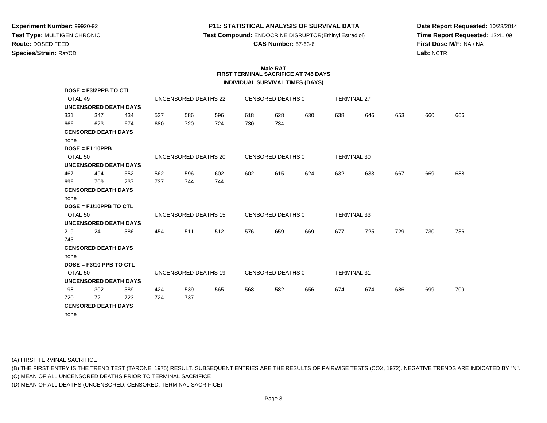## **P11: STATISTICAL ANALYSIS OF SURVIVAL DATA**

**Test Compound:** ENDOCRINE DISRUPTOR(Ethinyl Estradiol)

**CAS Number:** 57-63-6

**Date Report Requested:** 10/23/2014**Time Report Requested:** 12:41:09**First Dose M/F:** NA / NA**Lab:** NCTR

# **Male RATFIRST TERMINAL SACRIFICE AT 745 DAYS**

|                 |                            |                              |     |                             |     |     |                          | INDIVIDUAL SURVIVAL TIMES (DAYS) |                    |     |     |     |     |
|-----------------|----------------------------|------------------------------|-----|-----------------------------|-----|-----|--------------------------|----------------------------------|--------------------|-----|-----|-----|-----|
|                 | DOSE = F3/2PPB TO CTL      |                              |     |                             |     |     |                          |                                  |                    |     |     |     |     |
| <b>TOTAL 49</b> |                            |                              |     | UNCENSORED DEATHS 22        |     |     | <b>CENSORED DEATHS 0</b> |                                  | <b>TERMINAL 27</b> |     |     |     |     |
|                 |                            | <b>UNCENSORED DEATH DAYS</b> |     |                             |     |     |                          |                                  |                    |     |     |     |     |
| 331             | 347                        | 434                          | 527 | 586                         | 596 | 618 | 628                      | 630                              | 638                | 646 | 653 | 660 | 666 |
| 666             | 673                        | 674                          | 680 | 720                         | 724 | 730 | 734                      |                                  |                    |     |     |     |     |
|                 | <b>CENSORED DEATH DAYS</b> |                              |     |                             |     |     |                          |                                  |                    |     |     |     |     |
| none            |                            |                              |     |                             |     |     |                          |                                  |                    |     |     |     |     |
|                 | $DOSE = F1 10PPB$          |                              |     |                             |     |     |                          |                                  |                    |     |     |     |     |
| <b>TOTAL 50</b> |                            |                              |     | UNCENSORED DEATHS 20        |     |     | CENSORED DEATHS 0        |                                  | <b>TERMINAL 30</b> |     |     |     |     |
|                 |                            | <b>UNCENSORED DEATH DAYS</b> |     |                             |     |     |                          |                                  |                    |     |     |     |     |
| 467             | 494                        | 552                          | 562 | 596                         | 602 | 602 | 615                      | 624                              | 632                | 633 | 667 | 669 | 688 |
| 696             | 709                        | 737                          | 737 | 744                         | 744 |     |                          |                                  |                    |     |     |     |     |
|                 | <b>CENSORED DEATH DAYS</b> |                              |     |                             |     |     |                          |                                  |                    |     |     |     |     |
| none            |                            |                              |     |                             |     |     |                          |                                  |                    |     |     |     |     |
|                 | $DOSE = F1/10PPB TO CTL$   |                              |     |                             |     |     |                          |                                  |                    |     |     |     |     |
| <b>TOTAL 50</b> |                            |                              |     | <b>UNCENSORED DEATHS 15</b> |     |     | CENSORED DEATHS 0        |                                  | <b>TERMINAL 33</b> |     |     |     |     |
|                 |                            | <b>UNCENSORED DEATH DAYS</b> |     |                             |     |     |                          |                                  |                    |     |     |     |     |
| 219             | 241                        | 386                          | 454 | 511                         | 512 | 576 | 659                      | 669                              | 677                | 725 | 729 | 730 | 736 |
| 743             |                            |                              |     |                             |     |     |                          |                                  |                    |     |     |     |     |
|                 | <b>CENSORED DEATH DAYS</b> |                              |     |                             |     |     |                          |                                  |                    |     |     |     |     |
| none            |                            |                              |     |                             |     |     |                          |                                  |                    |     |     |     |     |
|                 | $DOSE = F3/10 PPB TO CTL$  |                              |     |                             |     |     |                          |                                  |                    |     |     |     |     |
| <b>TOTAL 50</b> |                            |                              |     | UNCENSORED DEATHS 19        |     |     | <b>CENSORED DEATHS 0</b> |                                  | <b>TERMINAL 31</b> |     |     |     |     |
|                 |                            | <b>UNCENSORED DEATH DAYS</b> |     |                             |     |     |                          |                                  |                    |     |     |     |     |
| 198             | 302                        | 389                          | 424 | 539                         | 565 | 568 | 582                      | 656                              | 674                | 674 | 686 | 699 | 709 |
| 720             | 721                        | 723                          | 724 | 737                         |     |     |                          |                                  |                    |     |     |     |     |
|                 | <b>CENSORED DEATH DAYS</b> |                              |     |                             |     |     |                          |                                  |                    |     |     |     |     |
| none            |                            |                              |     |                             |     |     |                          |                                  |                    |     |     |     |     |

(A) FIRST TERMINAL SACRIFICE

(B) THE FIRST ENTRY IS THE TREND TEST (TARONE, 1975) RESULT. SUBSEQUENT ENTRIES ARE THE RESULTS OF PAIRWISE TESTS (COX, 1972). NEGATIVE TRENDS ARE INDICATED BY "N".

(C) MEAN OF ALL UNCENSORED DEATHS PRIOR TO TERMINAL SACRIFICE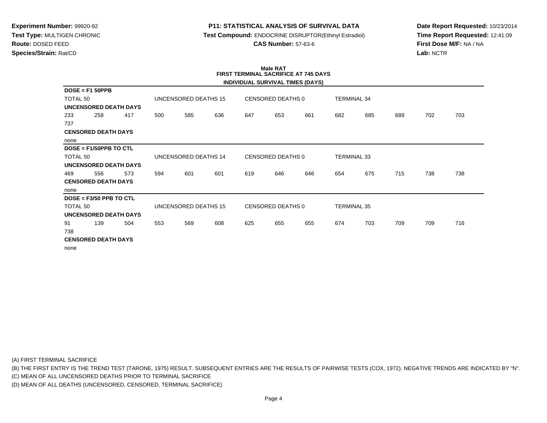## **P11: STATISTICAL ANALYSIS OF SURVIVAL DATA**

**Test Compound:** ENDOCRINE DISRUPTOR(Ethinyl Estradiol)

**CAS Number:** 57-63-6

**Date Report Requested:** 10/23/2014**Time Report Requested:** 12:41:09**First Dose M/F:** NA / NA**Lab:** NCTR

#### **Male RAT FIRST TERMINAL SACRIFICE AT 745 DAYSINDIVIDUAL SURVIVAL TIMES (DAYS)**

|                              |                            |                              |     |                      |                   |     |                   | INDIVIDUAL SURVIVAL TIMES (DAYS) |                    |     |     |     |     |
|------------------------------|----------------------------|------------------------------|-----|----------------------|-------------------|-----|-------------------|----------------------------------|--------------------|-----|-----|-----|-----|
|                              | $DOSE = F150PPB$           |                              |     |                      |                   |     |                   |                                  |                    |     |     |     |     |
| TOTAL 50                     |                            |                              |     | UNCENSORED DEATHS 15 |                   |     | CENSORED DEATHS 0 |                                  | TERMINAL 34        |     |     |     |     |
|                              |                            | <b>UNCENSORED DEATH DAYS</b> |     |                      |                   |     |                   |                                  |                    |     |     |     |     |
| 233                          | 258                        | 417                          | 500 | 585                  | 636               | 647 | 653               | 661                              | 682                | 685 | 689 | 702 | 703 |
| 737                          |                            |                              |     |                      |                   |     |                   |                                  |                    |     |     |     |     |
|                              | <b>CENSORED DEATH DAYS</b> |                              |     |                      |                   |     |                   |                                  |                    |     |     |     |     |
| none                         |                            |                              |     |                      |                   |     |                   |                                  |                    |     |     |     |     |
|                              | $DOSE = F1/50PPB TO CTL$   |                              |     |                      |                   |     |                   |                                  |                    |     |     |     |     |
| TOTAL 50                     |                            | UNCENSORED DEATHS 14         |     |                      | CENSORED DEATHS 0 |     |                   |                                  | <b>TERMINAL 33</b> |     |     |     |     |
| <b>UNCENSORED DEATH DAYS</b> |                            |                              |     |                      |                   |     |                   |                                  |                    |     |     |     |     |
| 469                          | 556                        | 573                          | 594 | 601                  | 601               | 619 | 646               | 646                              | 654                | 675 | 715 | 738 | 738 |
|                              | <b>CENSORED DEATH DAYS</b> |                              |     |                      |                   |     |                   |                                  |                    |     |     |     |     |
| none                         |                            |                              |     |                      |                   |     |                   |                                  |                    |     |     |     |     |
|                              | $DOSE = F3/50 PPB TO CTL$  |                              |     |                      |                   |     |                   |                                  |                    |     |     |     |     |
| TOTAL 50                     |                            |                              |     | UNCENSORED DEATHS 15 |                   |     | CENSORED DEATHS 0 |                                  | <b>TERMINAL 35</b> |     |     |     |     |
|                              |                            | <b>UNCENSORED DEATH DAYS</b> |     |                      |                   |     |                   |                                  |                    |     |     |     |     |
| 91                           | 139                        | 504                          | 553 | 569                  | 608               | 625 | 655               | 655                              | 674                | 703 | 709 | 709 | 716 |
| 738                          |                            |                              |     |                      |                   |     |                   |                                  |                    |     |     |     |     |
|                              | <b>CENSORED DEATH DAYS</b> |                              |     |                      |                   |     |                   |                                  |                    |     |     |     |     |
| none                         |                            |                              |     |                      |                   |     |                   |                                  |                    |     |     |     |     |

(A) FIRST TERMINAL SACRIFICE

(B) THE FIRST ENTRY IS THE TREND TEST (TARONE, 1975) RESULT. SUBSEQUENT ENTRIES ARE THE RESULTS OF PAIRWISE TESTS (COX, 1972). NEGATIVE TRENDS ARE INDICATED BY "N".

(C) MEAN OF ALL UNCENSORED DEATHS PRIOR TO TERMINAL SACRIFICE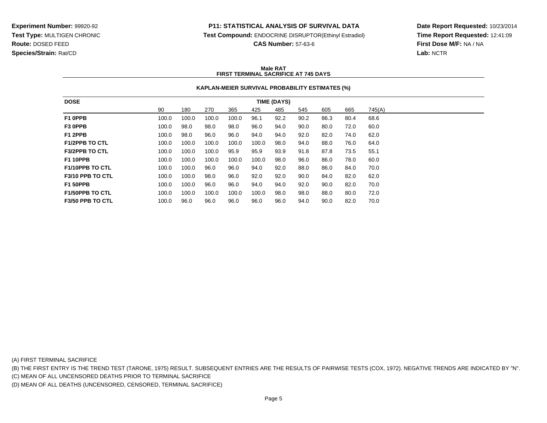#### **P11: STATISTICAL ANALYSIS OF SURVIVAL DATA**

**Test Compound:** ENDOCRINE DISRUPTOR(Ethinyl Estradiol)

**CAS Number:** 57-63-6

**Date Report Requested:** 10/23/2014**Time Report Requested:** 12:41:09**First Dose M/F:** NA / NA**Lab:** NCTR

#### **Male RATFIRST TERMINAL SACRIFICE AT 745 DAYS**

#### **KAPLAN-MEIER SURVIVAL PROBABILITY ESTIMATES (%)**

| <b>DOSE</b>                   |       |       |       |       |       | <b>TIME (DAYS)</b> |      |      |      |        |
|-------------------------------|-------|-------|-------|-------|-------|--------------------|------|------|------|--------|
|                               | 90    | 180   | 270   | 365   | 425   | 485                | 545  | 605  | 665  | 745(A) |
| F1 OPPB                       | 100.0 | 100.0 | 100.0 | 100.0 | 96.1  | 92.2               | 90.2 | 86.3 | 80.4 | 68.6   |
| F3 OPPB                       | 100.0 | 98.0  | 98.0  | 98.0  | 96.0  | 94.0               | 90.0 | 80.0 | 72.0 | 60.0   |
| F1 2PPB                       | 100.0 | 98.0  | 96.0  | 96.0  | 94.0  | 94.0               | 92.0 | 82.0 | 74.0 | 62.0   |
| <b>F1/2PPB TO CTL</b>         | 100.0 | 100.0 | 100.0 | 100.0 | 100.0 | 98.0               | 94.0 | 88.0 | 76.0 | 64.0   |
| <b>F3/2PPB TO CTL</b>         | 100.0 | 100.0 | 100.0 | 95.9  | 95.9  | 93.9               | 91.8 | 87.8 | 73.5 | 55.1   |
| <b>F1 10PPB</b>               | 100.0 | 100.0 | 100.0 | 100.0 | 100.0 | 98.0               | 96.0 | 86.0 | 78.0 | 60.0   |
| <b>F1/10PPB TO CTL</b>        | 100.0 | 100.0 | 96.0  | 96.0  | 94.0  | 92.0               | 88.0 | 86.0 | 84.0 | 70.0   |
| F3/10 PPB TO CTL              | 100.0 | 100.0 | 98.0  | 96.0  | 92.0  | 92.0               | 90.0 | 84.0 | 82.0 | 62.0   |
| <b>F1 50PPB</b>               | 100.0 | 100.0 | 96.0  | 96.0  | 94.0  | 94.0               | 92.0 | 90.0 | 82.0 | 70.0   |
| <b>F1/50PPB TO CTL</b>        | 100.0 | 100.0 | 100.0 | 100.0 | 100.0 | 98.0               | 98.0 | 88.0 | 80.0 | 72.0   |
| F <sub>3</sub> /50 PPB TO CTL | 100.0 | 96.0  | 96.0  | 96.0  | 96.0  | 96.0               | 94.0 | 90.0 | 82.0 | 70.0   |

(A) FIRST TERMINAL SACRIFICE

(B) THE FIRST ENTRY IS THE TREND TEST (TARONE, 1975) RESULT. SUBSEQUENT ENTRIES ARE THE RESULTS OF PAIRWISE TESTS (COX, 1972). NEGATIVE TRENDS ARE INDICATED BY "N".

(C) MEAN OF ALL UNCENSORED DEATHS PRIOR TO TERMINAL SACRIFICE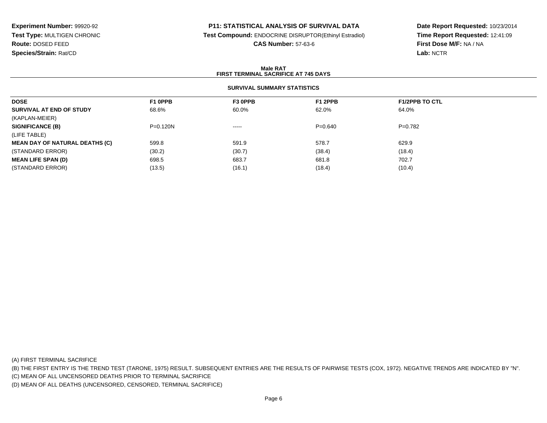## **P11: STATISTICAL ANALYSIS OF SURVIVAL DATA**

**Test Compound:** ENDOCRINE DISRUPTOR(Ethinyl Estradiol)

**CAS Number:** 57-63-6

**Date Report Requested:** 10/23/2014**Time Report Requested:** 12:41:09**First Dose M/F:** NA / NA**Lab:** NCTR

#### **Male RATFIRST TERMINAL SACRIFICE AT 745 DAYS**

### **SURVIVAL SUMMARY STATISTICS**

| <b>DOSE</b>                           | F1 OPPB    | F3 OPPB  | F1 2PPB     | <b>F1/2PPB TO CTL</b> |  |
|---------------------------------------|------------|----------|-------------|-----------------------|--|
| SURVIVAL AT END OF STUDY              | 68.6%      | 60.0%    | 62.0%       | 64.0%                 |  |
| (KAPLAN-MEIER)                        |            |          |             |                       |  |
| <b>SIGNIFICANCE (B)</b>               | $P=0.120N$ | $\cdots$ | $P = 0.640$ | $P=0.782$             |  |
| (LIFE TABLE)                          |            |          |             |                       |  |
| <b>MEAN DAY OF NATURAL DEATHS (C)</b> | 599.8      | 591.9    | 578.7       | 629.9                 |  |
| (STANDARD ERROR)                      | (30.2)     | (30.7)   | (38.4)      | (18.4)                |  |
| <b>MEAN LIFE SPAN (D)</b>             | 698.5      | 683.7    | 681.8       | 702.7                 |  |
| (STANDARD ERROR)                      | (13.5)     | (16.1)   | (18.4)      | (10.4)                |  |

(A) FIRST TERMINAL SACRIFICE

(B) THE FIRST ENTRY IS THE TREND TEST (TARONE, 1975) RESULT. SUBSEQUENT ENTRIES ARE THE RESULTS OF PAIRWISE TESTS (COX, 1972). NEGATIVE TRENDS ARE INDICATED BY "N".

(C) MEAN OF ALL UNCENSORED DEATHS PRIOR TO TERMINAL SACRIFICE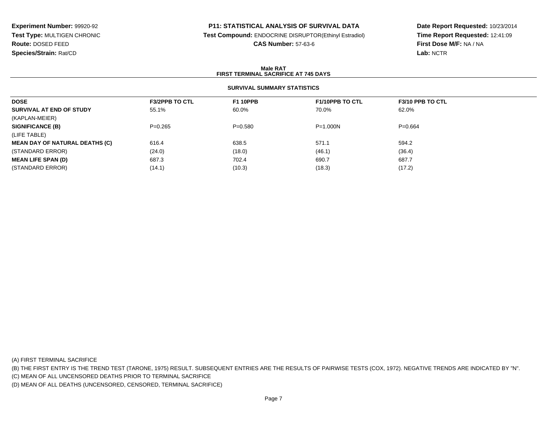### **P11: STATISTICAL ANALYSIS OF SURVIVAL DATA**

**Test Compound:** ENDOCRINE DISRUPTOR(Ethinyl Estradiol)

**CAS Number:** 57-63-6

**Date Report Requested:** 10/23/2014**Time Report Requested:** 12:41:09**First Dose M/F:** NA / NA**Lab:** NCTR

#### **Male RATFIRST TERMINAL SACRIFICE AT 745 DAYS**

## **SURVIVAL SUMMARY STATISTICS**

| <b>DOSE</b>                           | <b>F3/2PPB TO CTL</b> | <b>F1 10PPB</b> | <b>F1/10PPB TO CTL</b> | F3/10 PPB TO CTL |  |
|---------------------------------------|-----------------------|-----------------|------------------------|------------------|--|
| SURVIVAL AT END OF STUDY              | 55.1%                 | 60.0%           | 70.0%                  | 62.0%            |  |
| (KAPLAN-MEIER)                        |                       |                 |                        |                  |  |
| <b>SIGNIFICANCE (B)</b>               | $P=0.265$             | $P = 0.580$     | $P = 1.000N$           | $P=0.664$        |  |
| (LIFE TABLE)                          |                       |                 |                        |                  |  |
| <b>MEAN DAY OF NATURAL DEATHS (C)</b> | 616.4                 | 638.5           | 571.1                  | 594.2            |  |
| (STANDARD ERROR)                      | (24.0)                | (18.0)          | (46.1)                 | (36.4)           |  |
| <b>MEAN LIFE SPAN (D)</b>             | 687.3                 | 702.4           | 690.7                  | 687.7            |  |
| (STANDARD ERROR)                      | (14.1)                | (10.3)          | (18.3)                 | (17.2)           |  |
|                                       |                       |                 |                        |                  |  |

(A) FIRST TERMINAL SACRIFICE

(B) THE FIRST ENTRY IS THE TREND TEST (TARONE, 1975) RESULT. SUBSEQUENT ENTRIES ARE THE RESULTS OF PAIRWISE TESTS (COX, 1972). NEGATIVE TRENDS ARE INDICATED BY "N".

(C) MEAN OF ALL UNCENSORED DEATHS PRIOR TO TERMINAL SACRIFICE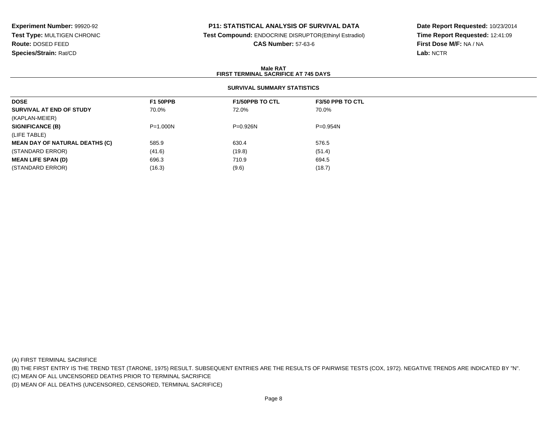### **P11: STATISTICAL ANALYSIS OF SURVIVAL DATA**

**Test Compound:** ENDOCRINE DISRUPTOR(Ethinyl Estradiol)

**CAS Number:** 57-63-6

**Date Report Requested:** 10/23/2014**Time Report Requested:** 12:41:09**First Dose M/F:** NA / NA**Lab:** NCTR

#### **Male RATFIRST TERMINAL SACRIFICE AT 745 DAYS**

## **SURVIVAL SUMMARY STATISTICS**

| <b>DOSE</b>                           | <b>F1 50PPB</b> | <b>F1/50PPB TO CTL</b> | <b>F3/50 PPB TO CTL</b> |  |
|---------------------------------------|-----------------|------------------------|-------------------------|--|
| SURVIVAL AT END OF STUDY              | 70.0%           | 72.0%                  | 70.0%                   |  |
| (KAPLAN-MEIER)                        |                 |                        |                         |  |
| <b>SIGNIFICANCE (B)</b>               | $P = 1.000N$    | $P = 0.926N$           | $P = 0.954N$            |  |
| (LIFE TABLE)                          |                 |                        |                         |  |
| <b>MEAN DAY OF NATURAL DEATHS (C)</b> | 585.9           | 630.4                  | 576.5                   |  |
| (STANDARD ERROR)                      | (41.6)          | (19.8)                 | (51.4)                  |  |
| <b>MEAN LIFE SPAN (D)</b>             | 696.3           | 710.9                  | 694.5                   |  |
| (STANDARD ERROR)                      | (16.3)          | (9.6)                  | (18.7)                  |  |

(A) FIRST TERMINAL SACRIFICE

(B) THE FIRST ENTRY IS THE TREND TEST (TARONE, 1975) RESULT. SUBSEQUENT ENTRIES ARE THE RESULTS OF PAIRWISE TESTS (COX, 1972). NEGATIVE TRENDS ARE INDICATED BY "N".

(C) MEAN OF ALL UNCENSORED DEATHS PRIOR TO TERMINAL SACRIFICE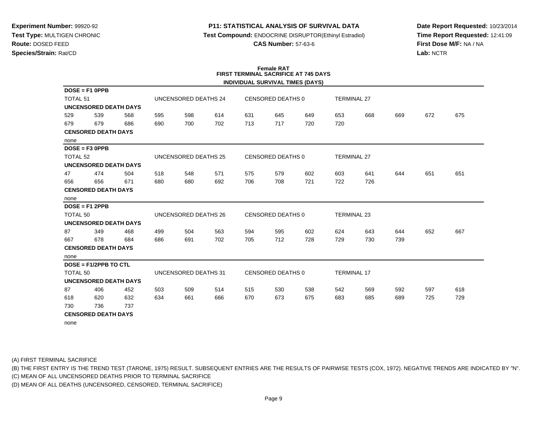#### **P11: STATISTICAL ANALYSIS OF SURVIVAL DATA**

 **Test Compound:** ENDOCRINE DISRUPTOR(Ethinyl Estradiol)**3-6** 

**Date Report Requested:** 10/23/2014**Time Report Requested:** 12:41:09**First Dose M/F:** NA / NA**Lab:** NCTR

|  | CAS Number: 57-63 |  |  |
|--|-------------------|--|--|
|--|-------------------|--|--|

**Female RAT**

|                     | ו ראו שוווע ו<br><b>FIRST TERMINAL SACRIFICE AT 745 DAYS</b> |     |                      |                      |     |                          |                          |                                         |                    |     |     |     |     |
|---------------------|--------------------------------------------------------------|-----|----------------------|----------------------|-----|--------------------------|--------------------------|-----------------------------------------|--------------------|-----|-----|-----|-----|
|                     |                                                              |     |                      |                      |     |                          |                          | <b>INDIVIDUAL SURVIVAL TIMES (DAYS)</b> |                    |     |     |     |     |
|                     | $DOSE = F1$ OPPB                                             |     |                      |                      |     |                          |                          |                                         |                    |     |     |     |     |
| <b>TOTAL 51</b>     |                                                              |     |                      | UNCENSORED DEATHS 24 |     | CENSORED DEATHS 0        |                          |                                         | <b>TERMINAL 27</b> |     |     |     |     |
|                     | <b>UNCENSORED DEATH DAYS</b>                                 |     |                      |                      |     |                          |                          |                                         |                    |     |     |     |     |
| 529                 | 539                                                          | 568 | 595                  | 598                  | 614 | 631                      | 645                      | 649                                     | 653                | 668 | 669 | 672 | 675 |
| 679                 | 679                                                          | 686 | 690                  | 700                  | 702 | 713                      | 717                      | 720                                     | 720                |     |     |     |     |
|                     | <b>CENSORED DEATH DAYS</b>                                   |     |                      |                      |     |                          |                          |                                         |                    |     |     |     |     |
| none                |                                                              |     |                      |                      |     |                          |                          |                                         |                    |     |     |     |     |
|                     | $DOSE = F3 OPPB$                                             |     |                      |                      |     |                          |                          |                                         |                    |     |     |     |     |
| TOTAL <sub>52</sub> |                                                              |     |                      | UNCENSORED DEATHS 25 |     |                          | <b>CENSORED DEATHS 0</b> |                                         | <b>TERMINAL 27</b> |     |     |     |     |
|                     | <b>UNCENSORED DEATH DAYS</b>                                 |     |                      |                      |     |                          |                          |                                         |                    |     |     |     |     |
| 47                  | 474                                                          | 504 | 518                  | 548                  | 571 | 575                      | 579                      | 602                                     | 603                | 641 | 644 | 651 | 651 |
| 656                 | 656                                                          | 671 | 680                  | 680                  | 692 | 706                      | 708                      | 721                                     | 722                | 726 |     |     |     |
|                     | <b>CENSORED DEATH DAYS</b>                                   |     |                      |                      |     |                          |                          |                                         |                    |     |     |     |     |
| none                |                                                              |     |                      |                      |     |                          |                          |                                         |                    |     |     |     |     |
|                     | $DOSE = F12PPB$                                              |     |                      |                      |     |                          |                          |                                         |                    |     |     |     |     |
| <b>TOTAL 50</b>     |                                                              |     | UNCENSORED DEATHS 26 |                      |     | <b>CENSORED DEATHS 0</b> |                          |                                         | <b>TERMINAL 23</b> |     |     |     |     |
|                     | <b>UNCENSORED DEATH DAYS</b>                                 |     |                      |                      |     |                          |                          |                                         |                    |     |     |     |     |
| 87                  | 349                                                          | 468 | 499                  | 504                  | 563 | 594                      | 595                      | 602                                     | 624                | 643 | 644 | 652 | 667 |
| 667                 | 678                                                          | 684 | 686                  | 691                  | 702 | 705                      | 712                      | 728                                     | 729                | 730 | 739 |     |     |
|                     | <b>CENSORED DEATH DAYS</b>                                   |     |                      |                      |     |                          |                          |                                         |                    |     |     |     |     |
| none                |                                                              |     |                      |                      |     |                          |                          |                                         |                    |     |     |     |     |
|                     | $DOSE = F1/2PPB TO CTL$                                      |     |                      |                      |     |                          |                          |                                         |                    |     |     |     |     |
| <b>TOTAL 50</b>     |                                                              |     |                      | UNCENSORED DEATHS 31 |     |                          | <b>CENSORED DEATHS 0</b> |                                         | <b>TERMINAL 17</b> |     |     |     |     |
|                     | <b>UNCENSORED DEATH DAYS</b>                                 |     |                      |                      |     |                          |                          |                                         |                    |     |     |     |     |
| 87                  | 406                                                          | 452 | 503                  | 509                  | 514 | 515                      | 530                      | 538                                     | 542                | 569 | 592 | 597 | 618 |
| 618                 | 620                                                          | 632 | 634                  | 661                  | 666 | 670                      | 673                      | 675                                     | 683                | 685 | 689 | 725 | 729 |
| 730                 | 736                                                          | 737 |                      |                      |     |                          |                          |                                         |                    |     |     |     |     |
|                     | <b>CENSORED DEATH DAYS</b>                                   |     |                      |                      |     |                          |                          |                                         |                    |     |     |     |     |
|                     |                                                              |     |                      |                      |     |                          |                          |                                         |                    |     |     |     |     |

none

(A) FIRST TERMINAL SACRIFICE

(B) THE FIRST ENTRY IS THE TREND TEST (TARONE, 1975) RESULT. SUBSEQUENT ENTRIES ARE THE RESULTS OF PAIRWISE TESTS (COX, 1972). NEGATIVE TRENDS ARE INDICATED BY "N".

(C) MEAN OF ALL UNCENSORED DEATHS PRIOR TO TERMINAL SACRIFICE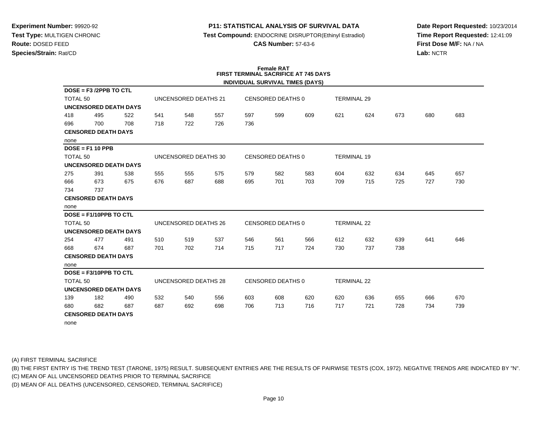### **P11: STATISTICAL ANALYSIS OF SURVIVAL DATA**

**Test Compound:** ENDOCRINE DISRUPTOR(Ethinyl Estradiol)

**CAS Number:** 57-63-6

**Date Report Requested:** 10/23/2014**Time Report Requested:** 12:41:09**First Dose M/F:** NA / NA**Lab:** NCTR

|                            | <b>Female RAT</b><br><b>FIRST TERMINAL SACRIFICE AT 745 DAYS</b> |     |     |                      |     |                          |                          |                                         |                    |     |     |     |     |
|----------------------------|------------------------------------------------------------------|-----|-----|----------------------|-----|--------------------------|--------------------------|-----------------------------------------|--------------------|-----|-----|-----|-----|
|                            |                                                                  |     |     |                      |     |                          |                          | <b>INDIVIDUAL SURVIVAL TIMES (DAYS)</b> |                    |     |     |     |     |
|                            | $DOSE = F3 /2PPB TO CTL$                                         |     |     |                      |     |                          |                          |                                         |                    |     |     |     |     |
| TOTAL <sub>50</sub>        |                                                                  |     |     | UNCENSORED DEATHS 21 |     | CENSORED DEATHS 0        |                          |                                         | <b>TERMINAL 29</b> |     |     |     |     |
|                            | <b>UNCENSORED DEATH DAYS</b>                                     |     |     |                      |     |                          |                          |                                         |                    |     |     |     |     |
| 418                        | 495                                                              | 522 | 541 | 548                  | 557 | 597                      | 599                      | 609                                     | 621                | 624 | 673 | 680 | 683 |
| 696                        | 700                                                              | 708 | 718 | 722                  | 726 | 736                      |                          |                                         |                    |     |     |     |     |
|                            | <b>CENSORED DEATH DAYS</b>                                       |     |     |                      |     |                          |                          |                                         |                    |     |     |     |     |
| none                       |                                                                  |     |     |                      |     |                          |                          |                                         |                    |     |     |     |     |
|                            | $DOSE = F1 10 PPB$                                               |     |     |                      |     |                          |                          |                                         |                    |     |     |     |     |
| <b>TOTAL 50</b>            |                                                                  |     |     | UNCENSORED DEATHS 30 |     |                          | <b>CENSORED DEATHS 0</b> |                                         | <b>TERMINAL 19</b> |     |     |     |     |
|                            | <b>UNCENSORED DEATH DAYS</b>                                     |     |     |                      |     |                          |                          |                                         |                    |     |     |     |     |
| 275                        | 391                                                              | 538 | 555 | 555                  | 575 | 579                      | 582                      | 583                                     | 604                | 632 | 634 | 645 | 657 |
| 666                        | 673                                                              | 675 | 676 | 687                  | 688 | 695                      | 701                      | 703                                     | 709                | 715 | 725 | 727 | 730 |
| 734                        | 737                                                              |     |     |                      |     |                          |                          |                                         |                    |     |     |     |     |
| <b>CENSORED DEATH DAYS</b> |                                                                  |     |     |                      |     |                          |                          |                                         |                    |     |     |     |     |
| none                       |                                                                  |     |     |                      |     |                          |                          |                                         |                    |     |     |     |     |
|                            | DOSE = F1/10PPB TO CTL                                           |     |     |                      |     |                          |                          |                                         |                    |     |     |     |     |
| TOTAL <sub>50</sub>        |                                                                  |     |     | UNCENSORED DEATHS 26 |     | <b>CENSORED DEATHS 0</b> |                          |                                         | <b>TERMINAL 22</b> |     |     |     |     |
|                            | <b>UNCENSORED DEATH DAYS</b>                                     |     |     |                      |     |                          |                          |                                         |                    |     |     |     |     |
| 254                        | 477                                                              | 491 | 510 | 519                  | 537 | 546                      | 561                      | 566                                     | 612                | 632 | 639 | 641 | 646 |
| 668                        | 674                                                              | 687 | 701 | 702                  | 714 | 715                      | 717                      | 724                                     | 730                | 737 | 738 |     |     |
|                            | <b>CENSORED DEATH DAYS</b>                                       |     |     |                      |     |                          |                          |                                         |                    |     |     |     |     |
| none                       |                                                                  |     |     |                      |     |                          |                          |                                         |                    |     |     |     |     |
|                            | DOSE = F3/10PPB TO CTL                                           |     |     |                      |     |                          |                          |                                         |                    |     |     |     |     |
| <b>TOTAL 50</b>            |                                                                  |     |     | UNCENSORED DEATHS 28 |     |                          | CENSORED DEATHS 0        |                                         | <b>TERMINAL 22</b> |     |     |     |     |
|                            | <b>UNCENSORED DEATH DAYS</b>                                     |     |     |                      |     |                          |                          |                                         |                    |     |     |     |     |
| 139                        | 182                                                              | 490 | 532 | 540                  | 556 | 603                      | 608                      | 620                                     | 620                | 636 | 655 | 666 | 670 |
| 680                        | 682                                                              | 687 | 687 | 692                  | 698 | 706                      | 713                      | 716                                     | 717                | 721 | 728 | 734 | 739 |
|                            | <b>CENSORED DEATH DAYS</b>                                       |     |     |                      |     |                          |                          |                                         |                    |     |     |     |     |
| none                       |                                                                  |     |     |                      |     |                          |                          |                                         |                    |     |     |     |     |

(A) FIRST TERMINAL SACRIFICE

(B) THE FIRST ENTRY IS THE TREND TEST (TARONE, 1975) RESULT. SUBSEQUENT ENTRIES ARE THE RESULTS OF PAIRWISE TESTS (COX, 1972). NEGATIVE TRENDS ARE INDICATED BY "N".

(C) MEAN OF ALL UNCENSORED DEATHS PRIOR TO TERMINAL SACRIFICE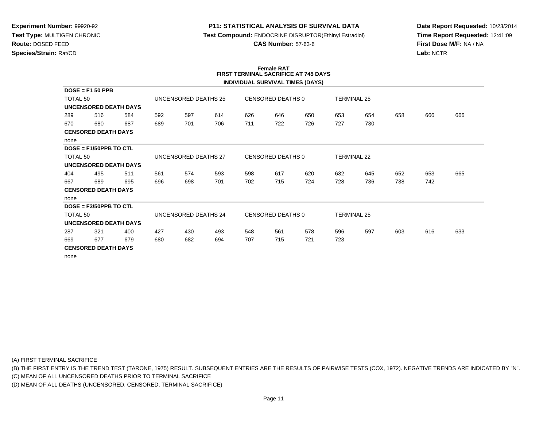#### **P11: STATISTICAL ANALYSIS OF SURVIVAL DATA**

**Test Compound:** ENDOCRINE DISRUPTOR(Ethinyl Estradiol)

**CAS Number:** 57-63-6

**Date Report Requested:** 10/23/2014**Time Report Requested:** 12:41:09**First Dose M/F:** NA / NA**Lab:** NCTR

#### **Female RAT FIRST TERMINAL SACRIFICE AT 745 DAYSINDIVIDUAL SURVIVAL TIMES (DAYS)**

|                            |                              |     |     |                      |     |                   |                          | INDIVIDUAL SURVIVAL TIMES (DATS) |                    |                    |     |     |     |
|----------------------------|------------------------------|-----|-----|----------------------|-----|-------------------|--------------------------|----------------------------------|--------------------|--------------------|-----|-----|-----|
|                            | $DOSE = F1 50 PPB$           |     |     |                      |     |                   |                          |                                  |                    |                    |     |     |     |
| TOTAL 50                   |                              |     |     | UNCENSORED DEATHS 25 |     | CENSORED DEATHS 0 |                          |                                  | <b>TERMINAL 25</b> |                    |     |     |     |
|                            | <b>UNCENSORED DEATH DAYS</b> |     |     |                      |     |                   |                          |                                  |                    |                    |     |     |     |
| 289                        | 516                          | 584 | 592 | 597                  | 614 | 626               | 646                      | 650                              | 653                | 654                | 658 | 666 | 666 |
| 670                        | 680                          | 687 | 689 | 701                  | 706 | 711               | 722                      | 726                              | 727                | 730                |     |     |     |
| <b>CENSORED DEATH DAYS</b> |                              |     |     |                      |     |                   |                          |                                  |                    |                    |     |     |     |
| none                       |                              |     |     |                      |     |                   |                          |                                  |                    |                    |     |     |     |
|                            | $DOSE = F1/50PPB TO CTL$     |     |     |                      |     |                   |                          |                                  |                    |                    |     |     |     |
| TOTAL <sub>50</sub>        |                              |     |     | UNCENSORED DEATHS 27 |     |                   | CENSORED DEATHS 0        |                                  |                    | <b>TERMINAL 22</b> |     |     |     |
|                            | UNCENSORED DEATH DAYS        |     |     |                      |     |                   |                          |                                  |                    |                    |     |     |     |
| 404                        | 495                          | 511 | 561 | 574                  | 593 | 598               | 617                      | 620                              | 632                | 645                | 652 | 653 | 665 |
| 667                        | 689                          | 695 | 696 | 698                  | 701 | 702               | 715                      | 724                              | 728                | 736                | 738 | 742 |     |
| <b>CENSORED DEATH DAYS</b> |                              |     |     |                      |     |                   |                          |                                  |                    |                    |     |     |     |
| none                       |                              |     |     |                      |     |                   |                          |                                  |                    |                    |     |     |     |
|                            | $DOSE = F3/50PPB TO CTL$     |     |     |                      |     |                   |                          |                                  |                    |                    |     |     |     |
| TOTAL 50                   |                              |     |     | UNCENSORED DEATHS 24 |     |                   | <b>CENSORED DEATHS 0</b> |                                  |                    | <b>TERMINAL 25</b> |     |     |     |
|                            | <b>UNCENSORED DEATH DAYS</b> |     |     |                      |     |                   |                          |                                  |                    |                    |     |     |     |
| 287                        | 321                          | 400 | 427 | 430                  | 493 | 548               | 561                      | 578                              | 596                | 597                | 603 | 616 | 633 |
| 669                        | 677                          | 679 | 680 | 682                  | 694 | 707               | 715                      | 721                              | 723                |                    |     |     |     |
| <b>CENSORED DEATH DAYS</b> |                              |     |     |                      |     |                   |                          |                                  |                    |                    |     |     |     |
| none                       |                              |     |     |                      |     |                   |                          |                                  |                    |                    |     |     |     |

(A) FIRST TERMINAL SACRIFICE

(B) THE FIRST ENTRY IS THE TREND TEST (TARONE, 1975) RESULT. SUBSEQUENT ENTRIES ARE THE RESULTS OF PAIRWISE TESTS (COX, 1972). NEGATIVE TRENDS ARE INDICATED BY "N".

(C) MEAN OF ALL UNCENSORED DEATHS PRIOR TO TERMINAL SACRIFICE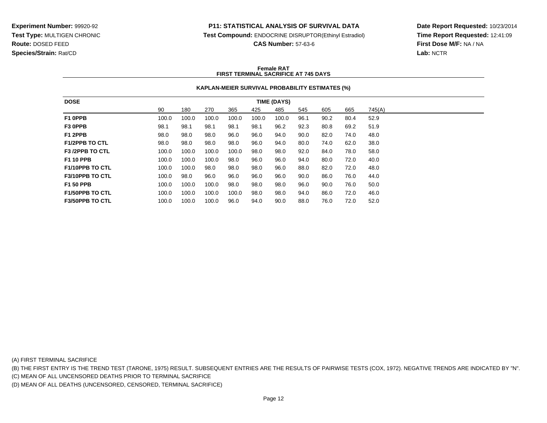#### **P11: STATISTICAL ANALYSIS OF SURVIVAL DATA**

**Test Compound:** ENDOCRINE DISRUPTOR(Ethinyl Estradiol)

**CAS Number:** 57-63-6

**Date Report Requested:** 10/23/2014**Time Report Requested:** 12:41:09**First Dose M/F:** NA / NA**Lab:** NCTR

#### **Female RATFIRST TERMINAL SACRIFICE AT 745 DAYS**

#### **KAPLAN-MEIER SURVIVAL PROBABILITY ESTIMATES (%)**

| <b>DOSE</b>            | <b>TIME (DAYS)</b> |       |       |       |       |       |      |      |      |        |
|------------------------|--------------------|-------|-------|-------|-------|-------|------|------|------|--------|
|                        | 90                 | 180   | 270   | 365   | 425   | 485   | 545  | 605  | 665  | 745(A) |
| F1 OPPB                | 100.0              | 100.0 | 100.0 | 100.0 | 100.0 | 100.0 | 96.1 | 90.2 | 80.4 | 52.9   |
| F3 OPPB                | 98.1               | 98.1  | 98.1  | 98.1  | 98.1  | 96.2  | 92.3 | 80.8 | 69.2 | 51.9   |
| F1 2PPB                | 98.0               | 98.0  | 98.0  | 96.0  | 96.0  | 94.0  | 90.0 | 82.0 | 74.0 | 48.0   |
| <b>F1/2PPB TO CTL</b>  | 98.0               | 98.0  | 98.0  | 98.0  | 96.0  | 94.0  | 80.0 | 74.0 | 62.0 | 38.0   |
| <b>F3 /2PPB TO CTL</b> | 100.0              | 100.0 | 100.0 | 100.0 | 98.0  | 98.0  | 92.0 | 84.0 | 78.0 | 58.0   |
| <b>F1 10 PPB</b>       | 100.0              | 100.0 | 100.0 | 98.0  | 96.0  | 96.0  | 94.0 | 80.0 | 72.0 | 40.0   |
| <b>F1/10PPB TO CTL</b> | 100.0              | 100.0 | 98.0  | 98.0  | 98.0  | 96.0  | 88.0 | 82.0 | 72.0 | 48.0   |
| <b>F3/10PPB TO CTL</b> | 100.0              | 98.0  | 96.0  | 96.0  | 96.0  | 96.0  | 90.0 | 86.0 | 76.0 | 44.0   |
| <b>F1 50 PPB</b>       | 100.0              | 100.0 | 100.0 | 98.0  | 98.0  | 98.0  | 96.0 | 90.0 | 76.0 | 50.0   |
| <b>F1/50PPB TO CTL</b> | 100.0              | 100.0 | 100.0 | 100.0 | 98.0  | 98.0  | 94.0 | 86.0 | 72.0 | 46.0   |
| <b>F3/50PPB TO CTL</b> | 100.0              | 100.0 | 100.0 | 96.0  | 94.0  | 90.0  | 88.0 | 76.0 | 72.0 | 52.0   |

(A) FIRST TERMINAL SACRIFICE

(B) THE FIRST ENTRY IS THE TREND TEST (TARONE, 1975) RESULT. SUBSEQUENT ENTRIES ARE THE RESULTS OF PAIRWISE TESTS (COX, 1972). NEGATIVE TRENDS ARE INDICATED BY "N".

(C) MEAN OF ALL UNCENSORED DEATHS PRIOR TO TERMINAL SACRIFICE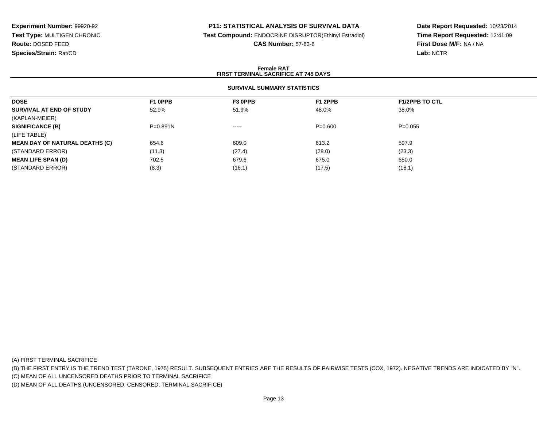### **P11: STATISTICAL ANALYSIS OF SURVIVAL DATA**

**Test Compound:** ENDOCRINE DISRUPTOR(Ethinyl Estradiol)

**CAS Number:** 57-63-6

**Date Report Requested:** 10/23/2014**Time Report Requested:** 12:41:09**First Dose M/F:** NA / NA**Lab:** NCTR

#### **Female RATFIRST TERMINAL SACRIFICE AT 745 DAYS**

#### **SURVIVAL SUMMARY STATISTICS**

| <b>DOSE</b>                           | F1 0PPB      | F3 OPPB  | F1 2PPB   | <b>F1/2PPB TO CTL</b> |  |
|---------------------------------------|--------------|----------|-----------|-----------------------|--|
| SURVIVAL AT END OF STUDY              | 52.9%        | 51.9%    | 48.0%     | 38.0%                 |  |
| (KAPLAN-MEIER)                        |              |          |           |                       |  |
| <b>SIGNIFICANCE (B)</b>               | $P = 0.891N$ | $\cdots$ | $P=0.600$ | $P=0.055$             |  |
| (LIFE TABLE)                          |              |          |           |                       |  |
| <b>MEAN DAY OF NATURAL DEATHS (C)</b> | 654.6        | 609.0    | 613.2     | 597.9                 |  |
| (STANDARD ERROR)                      | (11.3)       | (27.4)   | (28.0)    | (23.3)                |  |
| <b>MEAN LIFE SPAN (D)</b>             | 702.5        | 679.6    | 675.0     | 650.0                 |  |
| (STANDARD ERROR)                      | (8.3)        | (16.1)   | (17.5)    | (18.1)                |  |

(A) FIRST TERMINAL SACRIFICE

(B) THE FIRST ENTRY IS THE TREND TEST (TARONE, 1975) RESULT. SUBSEQUENT ENTRIES ARE THE RESULTS OF PAIRWISE TESTS (COX, 1972). NEGATIVE TRENDS ARE INDICATED BY "N".

(C) MEAN OF ALL UNCENSORED DEATHS PRIOR TO TERMINAL SACRIFICE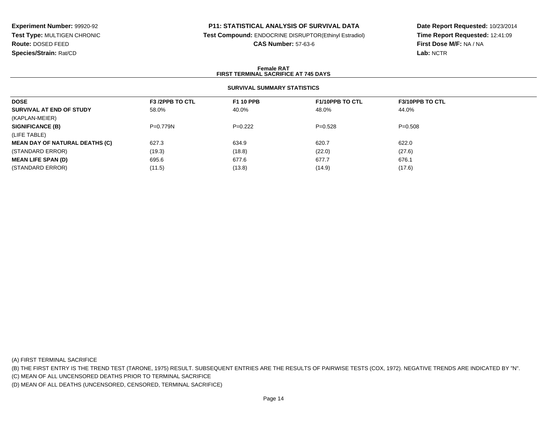#### **P11: STATISTICAL ANALYSIS OF SURVIVAL DATA**

**Test Compound:** ENDOCRINE DISRUPTOR(Ethinyl Estradiol)

**CAS Number:** 57-63-6

**Date Report Requested:** 10/23/2014**Time Report Requested:** 12:41:09**First Dose M/F:** NA / NA**Lab:** NCTR

#### **Female RATFIRST TERMINAL SACRIFICE AT 745 DAYS**

### **SURVIVAL SUMMARY STATISTICS**

| F <sub>3</sub> /2PPB TO CTL | <b>F1 10 PPB</b> | <b>F1/10PPB TO CTL</b> | <b>F3/10PPB TO CTL</b> |
|-----------------------------|------------------|------------------------|------------------------|
| 58.0%                       | 40.0%            | 48.0%                  | 44.0%                  |
|                             |                  |                        |                        |
| $P=0.779N$                  | $P=0.222$        | $P=0.528$              | $P = 0.508$            |
|                             |                  |                        |                        |
| 627.3                       | 634.9            | 620.7                  | 622.0                  |
| (19.3)                      | (18.8)           | (22.0)                 | (27.6)                 |
| 695.6                       | 677.6            | 677.7                  | 676.1                  |
| (11.5)                      | (13.8)           | (14.9)                 | (17.6)                 |
|                             |                  |                        |                        |

(A) FIRST TERMINAL SACRIFICE

(B) THE FIRST ENTRY IS THE TREND TEST (TARONE, 1975) RESULT. SUBSEQUENT ENTRIES ARE THE RESULTS OF PAIRWISE TESTS (COX, 1972). NEGATIVE TRENDS ARE INDICATED BY "N".

(C) MEAN OF ALL UNCENSORED DEATHS PRIOR TO TERMINAL SACRIFICE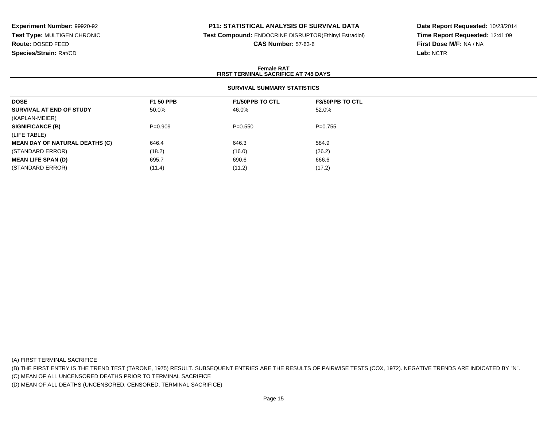### **P11: STATISTICAL ANALYSIS OF SURVIVAL DATA**

**Test Compound:** ENDOCRINE DISRUPTOR(Ethinyl Estradiol)

**CAS Number:** 57-63-6

**Date Report Requested:** 10/23/2014**Time Report Requested:** 12:41:09**First Dose M/F:** NA / NA**Lab:** NCTR

#### **Female RATFIRST TERMINAL SACRIFICE AT 745 DAYS**

## **SURVIVAL SUMMARY STATISTICS**

| <b>DOSE</b>                           | <b>F1 50 PPB</b> | <b>F1/50PPB TO CTL</b> | <b>F3/50PPB TO CTL</b> |
|---------------------------------------|------------------|------------------------|------------------------|
| SURVIVAL AT END OF STUDY              | 50.0%            | 46.0%                  | 52.0%                  |
| (KAPLAN-MEIER)                        |                  |                        |                        |
| <b>SIGNIFICANCE (B)</b>               | $P=0.909$        | $P = 0.550$            | $P=0.755$              |
| (LIFE TABLE)                          |                  |                        |                        |
| <b>MEAN DAY OF NATURAL DEATHS (C)</b> | 646.4            | 646.3                  | 584.9                  |
| (STANDARD ERROR)                      | (18.2)           | (16.0)                 | (26.2)                 |
| <b>MEAN LIFE SPAN (D)</b>             | 695.7            | 690.6                  | 666.6                  |
| (STANDARD ERROR)                      | (11.4)           | (11.2)                 | (17.2)                 |

(A) FIRST TERMINAL SACRIFICE

(B) THE FIRST ENTRY IS THE TREND TEST (TARONE, 1975) RESULT. SUBSEQUENT ENTRIES ARE THE RESULTS OF PAIRWISE TESTS (COX, 1972). NEGATIVE TRENDS ARE INDICATED BY "N".

(C) MEAN OF ALL UNCENSORED DEATHS PRIOR TO TERMINAL SACRIFICE